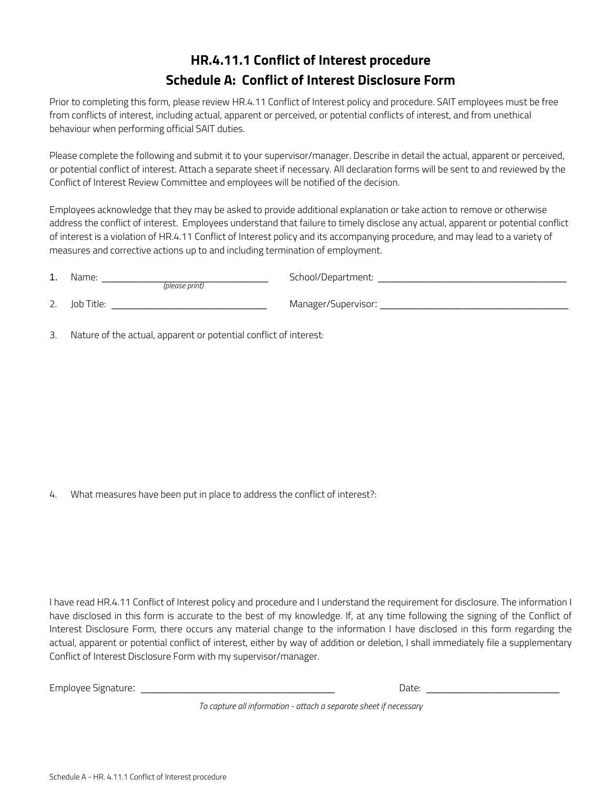# **HR.4.11.1 Conflict of Interest procedure Schedule A: Conflict of Interest Disclosure Form**

Prior to completing this form, please review HR.4.11 Conflict of Interest policy and procedure. SAIT employees must be free from conflicts of interest, including actual, apparent or perceived, or potential conflicts of interest, and from unethical behaviour when performing official SAIT duties.

Please complete the following and submit it to your supervisor/manager. Describe in detail the actual, apparent or perceived, or potential conflict of interest. Attach a separate sheet if necessary. All declaration forms will be sent to and reviewed by the Conflict of Interest Review Committee and employees will be notified of the decision.

Employees acknowledge that they may be asked to provide additional explanation or take action to remove or otherwise address the conflict of interest. Employees understand that failure to timely disclose any actual, apparent or potential conflict of interest is a violation of HR.4.11 Conflict of Interest policy and its accompanying procedure, and may lead to a variety of measures and corrective actions up to and including termination of employment.

| $1_{\cdot}$ | Name:<br>(please print) | School/Department:  |
|-------------|-------------------------|---------------------|
| 2.          | Job Title:              | Manager/Supervisor: |

3. Nature of the actual, apparent or potential conflict of interest:

4. What measures have been put in place to address the conflict of interest?:

I have read HR.4.11 Conflict of Interest policy and procedure and I understand the requirement for disclosure. The information I have disclosed in this form is accurate to the best of my knowledge. If, at any time following the signing of the Conflict of Interest Disclosure Form, there occurs any material change to the information I have disclosed in this form regarding the actual, apparent or potential conflict of interest, either by way of addition or deletion, I shall immediately file a supplementary Conflict of Interest Disclosure Form with my supervisor/manager.

| _<br>Employee<br>znature<br>SIPP'<br>___<br>.<br>__ | Dale. |  |
|-----------------------------------------------------|-------|--|
|                                                     |       |  |

*To capture all information - attach a separate sheet if necessary*